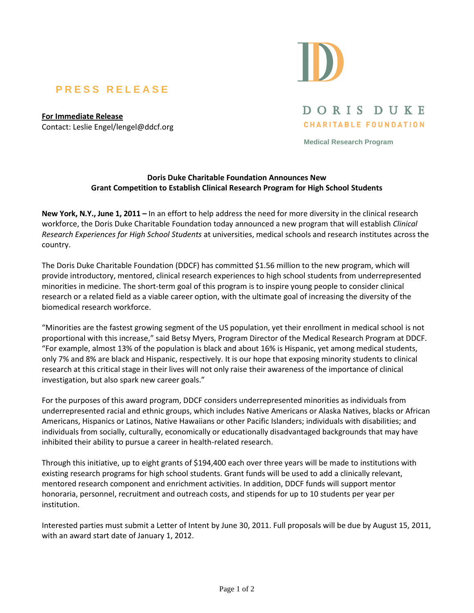## **P R E S S R E L E A S E**

**For Immediate Release** Contact: Leslie Engel/lengel@ddcf.org



DORIS DUKE **CHARITABLE FOUNDATION** 

**Medical Research Program** 

## **Doris Duke Charitable Foundation Announces New Grant Competition to Establish Clinical Research Program for High School Students**

**New York, N.Y., June 1, 2011 –** In an effort to help address the need for more diversity in the clinical research workforce, the Doris Duke Charitable Foundation today announced a new program that will establish *Clinical Research Experiences for High School Students* at universities, medical schools and research institutes across the country.

The Doris Duke Charitable Foundation (DDCF) has committed \$1.56 million to the new program, which will provide introductory, mentored, clinical research experiences to high school students from underrepresented minorities in medicine. The short-term goal of this program is to inspire young people to consider clinical research or a related field as a viable career option, with the ultimate goal of increasing the diversity of the biomedical research workforce.

"Minorities are the fastest growing segment of the US population, yet their enrollment in medical school is not proportional with this increase," said Betsy Myers, Program Director of the Medical Research Program at DDCF. "For example, almost 13% of the population is black and about 16% is Hispanic, yet among medical students, only 7% and 8% are black and Hispanic, respectively. It is our hope that exposing minority students to clinical research at this critical stage in their lives will not only raise their awareness of the importance of clinical investigation, but also spark new career goals."

For the purposes of this award program, DDCF considers underrepresented minorities as individuals from underrepresented racial and ethnic groups, which includes Native Americans or Alaska Natives, blacks or African Americans, Hispanics or Latinos, Native Hawaiians or other Pacific Islanders; individuals with disabilities; and individuals from socially, culturally, economically or educationally disadvantaged backgrounds that may have inhibited their ability to pursue a career in health-related research.

Through this initiative, up to eight grants of \$194,400 each over three years will be made to institutions with existing research programs for high school students. Grant funds will be used to add a clinically relevant, mentored research component and enrichment activities. In addition, DDCF funds will support mentor honoraria, personnel, recruitment and outreach costs, and stipends for up to 10 students per year per institution.

Interested parties must submit a Letter of Intent by June 30, 2011. Full proposals will be due by August 15, 2011, with an award start date of January 1, 2012.